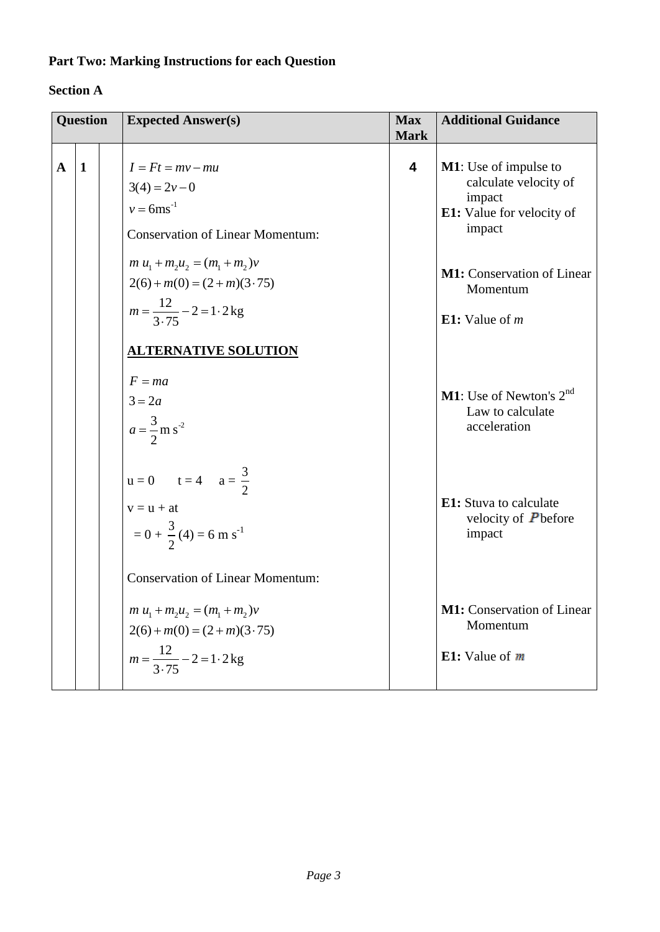# **Part Two: Marking Instructions for each Question**

### **Section A**

| <b>Question</b> |              | <b>Expected Answer(s)</b>                                                                                                                    | <b>Max</b><br><b>Mark</b> | <b>Additional Guidance</b>                                                                      |  |
|-----------------|--------------|----------------------------------------------------------------------------------------------------------------------------------------------|---------------------------|-------------------------------------------------------------------------------------------------|--|
| $\mathbf{A}$    | $\mathbf{1}$ | $I = Ft = mv - mu$<br>$3(4) = 2v - 0$<br>$v = 6$ ms <sup>-1</sup><br><b>Conservation of Linear Momentum:</b>                                 | $\overline{\mathbf{4}}$   | M1: Use of impulse to<br>calculate velocity of<br>impact<br>E1: Value for velocity of<br>impact |  |
|                 |              | $m u_1 + m_2 u_2 = (m_1 + m_2)v$<br>$2(6) + m(0) = (2 + m)(3.75)$<br>$m = \frac{12}{3.75} - 2 = 1.2$ kg                                      |                           | <b>M1:</b> Conservation of Linear<br>Momentum<br>E1: Value of $m$                               |  |
|                 |              | <b>ALTERNATIVE SOLUTION</b><br>$F = ma$<br>$3 = 2a$<br>$a = \frac{3}{2}$ m s <sup>-2</sup>                                                   |                           | <b>M1</b> : Use of Newton's $2^{nd}$<br>Law to calculate<br>acceleration                        |  |
|                 |              | $u = 0$ $t = 4$ $a = \frac{3}{2}$<br>$v = u + at$<br>$= 0 + \frac{3}{2}(4) = 6$ m s <sup>-1</sup><br><b>Conservation of Linear Momentum:</b> |                           | <b>E1:</b> Stuva to calculate<br>velocity of $P$ before<br>impact                               |  |
|                 |              | $m u_1 + m_2 u_2 = (m_1 + m_2)v$<br>$2(6) + m(0) = (2 + m)(3.75)$<br>$m = \frac{12}{3.75} - 2 = 1.2$ kg                                      |                           | M1: Conservation of Linear<br>Momentum<br>E1: Value of $m$                                      |  |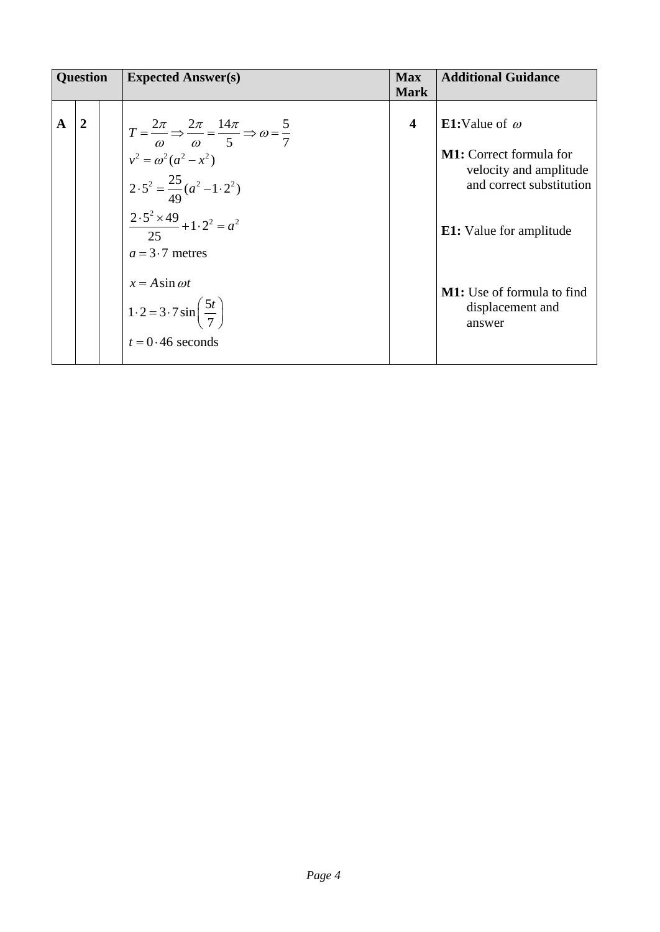| <b>Question</b> |                | <b>Expected Answer(s)</b>                                                                                                                                                                                                                                                                                                                                             | <b>Max</b><br><b>Mark</b> | <b>Additional Guidance</b>                                                                                                                                                                                                |
|-----------------|----------------|-----------------------------------------------------------------------------------------------------------------------------------------------------------------------------------------------------------------------------------------------------------------------------------------------------------------------------------------------------------------------|---------------------------|---------------------------------------------------------------------------------------------------------------------------------------------------------------------------------------------------------------------------|
| A               | $\overline{2}$ | $T = \frac{2\pi}{\omega} \Rightarrow \frac{2\pi}{\omega} = \frac{14\pi}{5} \Rightarrow \omega = \frac{5}{7}$<br>$v^2 = \omega^2 (a^2 - x^2)$<br>$2.5^2 = \frac{25}{49}(a^2 - 1.2^2)$<br>$\frac{2\cdot 5^2 \times 49}{25} + 1\cdot 2^2 = a^2$<br>$a = 3.7$ metres<br>$x = A \sin \omega t$<br>$1\cdot 2 = 3\cdot 7\sin\left(\frac{5t}{7}\right)$<br>$t = 0.46$ seconds | $\overline{\mathbf{4}}$   | <b>E1:</b> Value of $\omega$<br><b>M1:</b> Correct formula for<br>velocity and amplitude<br>and correct substitution<br><b>E1:</b> Value for amplitude<br><b>M1:</b> Use of formula to find<br>displacement and<br>answer |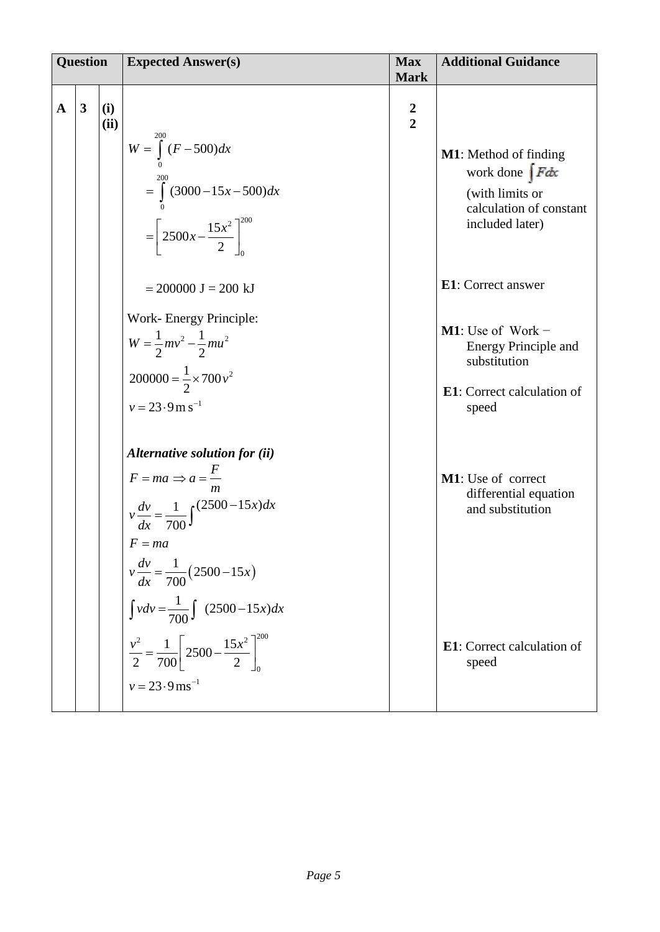| <b>Question</b> |                         |             | <b>Expected Answer(s)</b>                                                                                                                                                                                   | <b>Max</b><br><b>Mark</b> | <b>Additional Guidance</b>                                                                                              |
|-----------------|-------------------------|-------------|-------------------------------------------------------------------------------------------------------------------------------------------------------------------------------------------------------------|---------------------------|-------------------------------------------------------------------------------------------------------------------------|
| $\mathbf{A}$    | $\overline{\mathbf{3}}$ | (i)<br>(ii) | $W = \int_{0}^{200} (F - 500) dx$<br>$=\int_{0}^{2} (3000-15x-500)dx$<br>$=\left[2500x-\frac{15x^2}{2}\right]_0^{200}$                                                                                      | $\frac{2}{2}$             | <b>M1</b> : Method of finding<br>work done $\int F dx$<br>(with limits or<br>calculation of constant<br>included later) |
|                 |                         |             | $= 200000$ J = 200 kJ                                                                                                                                                                                       |                           | <b>E1</b> : Correct answer                                                                                              |
|                 |                         |             | Work- Energy Principle:<br>$W = \frac{1}{2}mv^2 - \frac{1}{2}mu^2$<br>$200000 = \frac{1}{2} \times 700 v^2$<br>$v = 23.9$ m s <sup>-1</sup>                                                                 |                           | <b>M1</b> : Use of Work $-$<br>Energy Principle and<br>substitution<br><b>E1</b> : Correct calculation of<br>speed      |
|                 |                         |             | Alternative solution for (ii)<br>$F = ma \Rightarrow a = \frac{F}{A}$<br>m<br>$v \frac{dv}{dx} = \frac{1}{700} \int \frac{(2500 - 15x)dx}{y}$<br>$F = ma$<br>$v \frac{dv}{dx} = \frac{1}{700} (2500 - 15x)$ |                           | M1: Use of correct<br>differential equation<br>and substitution                                                         |
|                 |                         |             | $\int v dv = \frac{1}{700} \int (2500 - 15x) dx$<br>$\frac{v^2}{2} = \frac{1}{700} \left[ 2500 - \frac{15x^2}{2} \right]_0^{200}$<br>$v = 23.9$ ms <sup>-1</sup>                                            |                           | <b>E1</b> : Correct calculation of<br>speed                                                                             |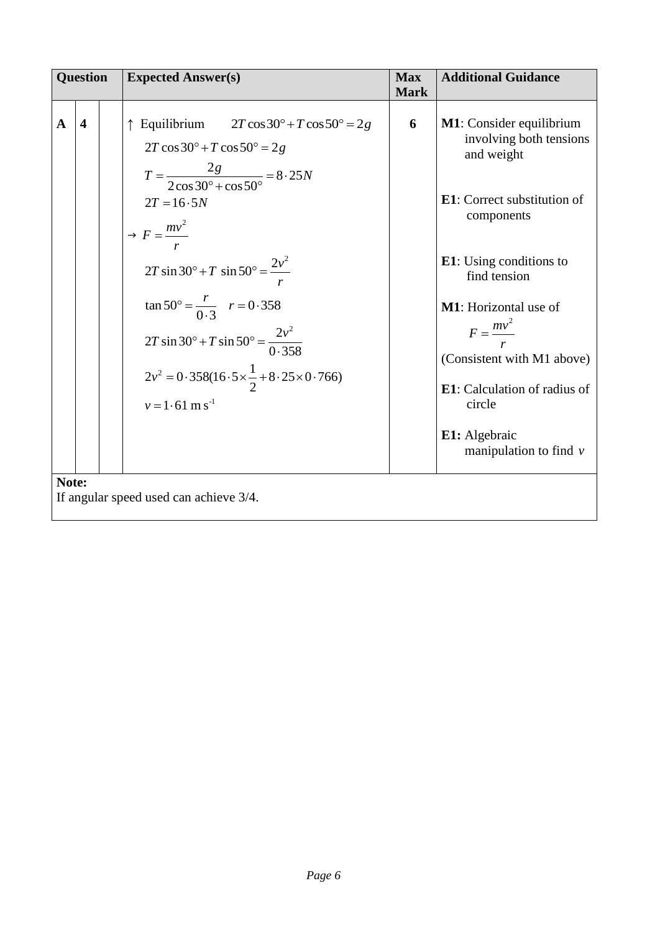| <b>Question</b>                         | <b>Expected Answer(s)</b>                                                                                                                                                                                                                                                                                                                                                                                                                                                            | <b>Max</b><br><b>Mark</b> | <b>Additional Guidance</b>                                                                                                                                                                                                                                                                                                                                |  |  |  |  |  |
|-----------------------------------------|--------------------------------------------------------------------------------------------------------------------------------------------------------------------------------------------------------------------------------------------------------------------------------------------------------------------------------------------------------------------------------------------------------------------------------------------------------------------------------------|---------------------------|-----------------------------------------------------------------------------------------------------------------------------------------------------------------------------------------------------------------------------------------------------------------------------------------------------------------------------------------------------------|--|--|--|--|--|
| $\overline{\mathbf{4}}$<br>$\mathbf{A}$ | $\uparrow$ Equilibrium $2T\cos 30^\circ + T\cos 50^\circ = 2g$<br>$2T \cos 30^\circ + T \cos 50^\circ = 2g$<br>$T = \frac{2g}{2\cos 30^\circ + \cos 50^\circ} = 8.25N$<br>$2T = 16.5N$<br>$\rightarrow F = \frac{mv^2}{r}$<br>$2T \sin 30^\circ + T \sin 50^\circ = \frac{2v^2}{r}$<br>$\tan 50^{\circ} = \frac{r}{0.3}$ $r = 0.358$<br>2T sin 30° + T sin 50° = $\frac{2v^2}{0.358}$<br>$2v^2 = 0.358(16.5 \times \frac{1}{2} + 8.25 \times 0.766)$<br>$v = 1.61$ m s <sup>-1</sup> | 6                         | <b>M1</b> : Consider equilibrium<br>involving both tensions<br>and weight<br><b>E1</b> : Correct substitution of<br>components<br><b>E1</b> : Using conditions to<br>find tension<br>M1: Horizontal use of<br>$F = \frac{mv^2}{2}$<br>(Consistent with M1 above)<br>E1: Calculation of radius of<br>circle<br>E1: Algebraic<br>manipulation to find $\nu$ |  |  |  |  |  |
| Note:                                   | If angular speed used can achieve 3/4.                                                                                                                                                                                                                                                                                                                                                                                                                                               |                           |                                                                                                                                                                                                                                                                                                                                                           |  |  |  |  |  |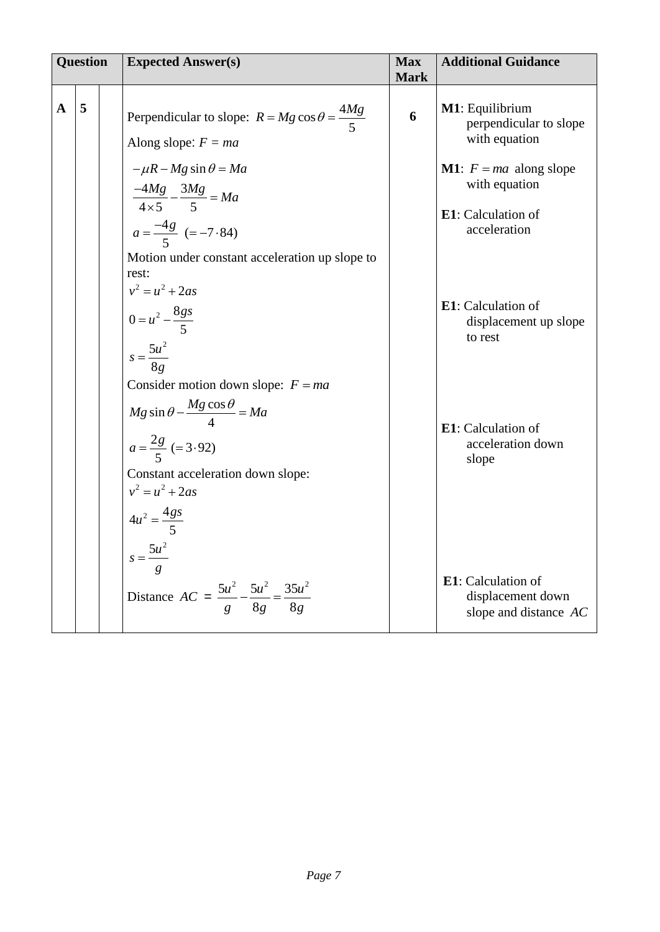| <b>Question</b> |   | <b>Expected Answer(s)</b>                                                                                                                 | <b>Max</b><br><b>Mark</b> | <b>Additional Guidance</b>                                              |
|-----------------|---|-------------------------------------------------------------------------------------------------------------------------------------------|---------------------------|-------------------------------------------------------------------------|
| A               | 5 | Perpendicular to slope: $R = Mg \cos \theta = \frac{4Mg}{5}$<br>Along slope: $F = ma$                                                     | 6                         | M1: Equilibrium<br>perpendicular to slope<br>with equation              |
|                 |   | $-\mu R - Mg \sin \theta = Ma$<br>$\frac{-4Mg}{4\times5}-\frac{3Mg}{5}=Ma$                                                                |                           | <b>M1</b> : $F = ma$ along slope<br>with equation<br>E1: Calculation of |
|                 |   | $a = \frac{-4g}{5}$ (= -7.84)<br>Motion under constant acceleration up slope to<br>rest:<br>$v^2 = u^2 + 2as$                             |                           | acceleration<br>E1: Calculation of                                      |
|                 |   | $0 = u^2 - \frac{8gs}{5}$<br>$s = \frac{5u^2}{8g}$<br>Consider motion down slope: $F = ma$                                                |                           | displacement up slope<br>to rest                                        |
|                 |   | $Mg \sin \theta - \frac{Mg \cos \theta}{4} = Ma$<br>$a = \frac{2g}{5} (= 3.92)$<br>Constant acceleration down slope:<br>$v^2 = u^2 + 2as$ |                           | <b>E1</b> : Calculation of<br>acceleration down<br>slope                |
|                 |   | $4u^2 = \frac{4gs}{5}$<br>$s=\frac{5u^2}{2}$<br>Distance $AC = \frac{5u^2}{g} - \frac{5u^2}{8g} = \frac{35u^2}{8g}$                       |                           | E1: Calculation of<br>displacement down                                 |
|                 |   |                                                                                                                                           |                           | slope and distance $AC$                                                 |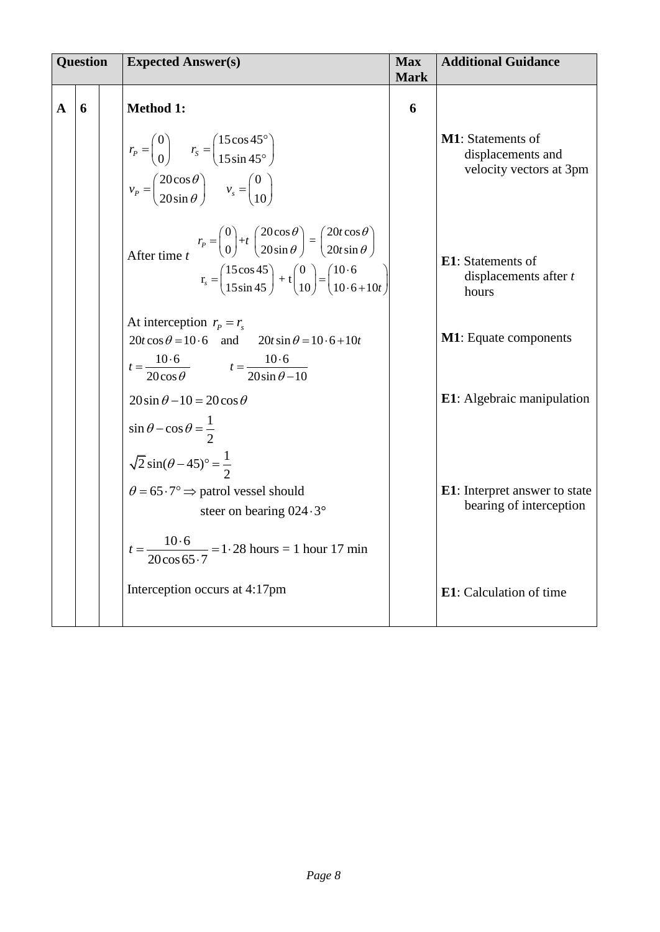|              | <b>Question</b> |  | <b>Expected Answer(s)</b>                                                                                                                                                                                                                                                                                                                              | <b>Max</b><br><b>Mark</b> | <b>Additional Guidance</b>                                                |
|--------------|-----------------|--|--------------------------------------------------------------------------------------------------------------------------------------------------------------------------------------------------------------------------------------------------------------------------------------------------------------------------------------------------------|---------------------------|---------------------------------------------------------------------------|
| $\mathbf{A}$ | 6               |  | <b>Method 1:</b><br>$r_p = \begin{pmatrix} 0 \\ 0 \end{pmatrix}$ $r_s = \begin{pmatrix} 15\cos 45^\circ \\ 15\sin 45^\circ \end{pmatrix}$<br>$v_p = \begin{pmatrix} 20\cos\theta \\ 20\sin\theta \end{pmatrix}$ $v_s = \begin{pmatrix} 0 \\ 10 \end{pmatrix}$                                                                                          | 6                         | <b>M1</b> : Statements of<br>displacements and<br>velocity vectors at 3pm |
|              |                 |  | After time $t^{r_p} = \begin{pmatrix} 0 \\ 0 \end{pmatrix} + t \begin{pmatrix} 20\cos\theta \\ 20\sin\theta \end{pmatrix} = \begin{pmatrix} 20t\cos\theta \\ 20t\sin\theta \end{pmatrix}$<br>$r_s = \begin{pmatrix} 15\cos 45 \\ 15\sin 45 \end{pmatrix} + t \begin{pmatrix} 0 \\ 10 \end{pmatrix} = \begin{pmatrix} 10.6 \\ 10.6 + 10t \end{pmatrix}$ |                           | <b>E1</b> : Statements of<br>displacements after t<br>hours               |
|              |                 |  | At interception $r_p = r_s$<br>$20t\cos\theta = 10.6$ and $20t\sin\theta = 10.6 + 10t$<br>$t = \frac{10.6}{20 \cos \theta}$ $t = \frac{10.6}{20 \sin \theta - 10}$                                                                                                                                                                                     |                           | <b>M1</b> : Equate components                                             |
|              |                 |  | $20\sin\theta - 10 = 20\cos\theta$<br>$\sin \theta - \cos \theta = \frac{1}{2}$                                                                                                                                                                                                                                                                        |                           | <b>E1</b> : Algebraic manipulation                                        |
|              |                 |  | $\sqrt{2} \sin(\theta - 45)^{\circ} = \frac{1}{2}$<br>$\theta = 65.7$ ° $\Rightarrow$ patrol vessel should<br>steer on bearing $024.3^\circ$<br>$t = \frac{10 \cdot 6}{20 \cos 65.7} = 1.28$ hours = 1 hour 17 min                                                                                                                                     |                           | <b>E1</b> : Interpret answer to state<br>bearing of interception          |
|              |                 |  | Interception occurs at 4:17pm                                                                                                                                                                                                                                                                                                                          |                           | E1: Calculation of time                                                   |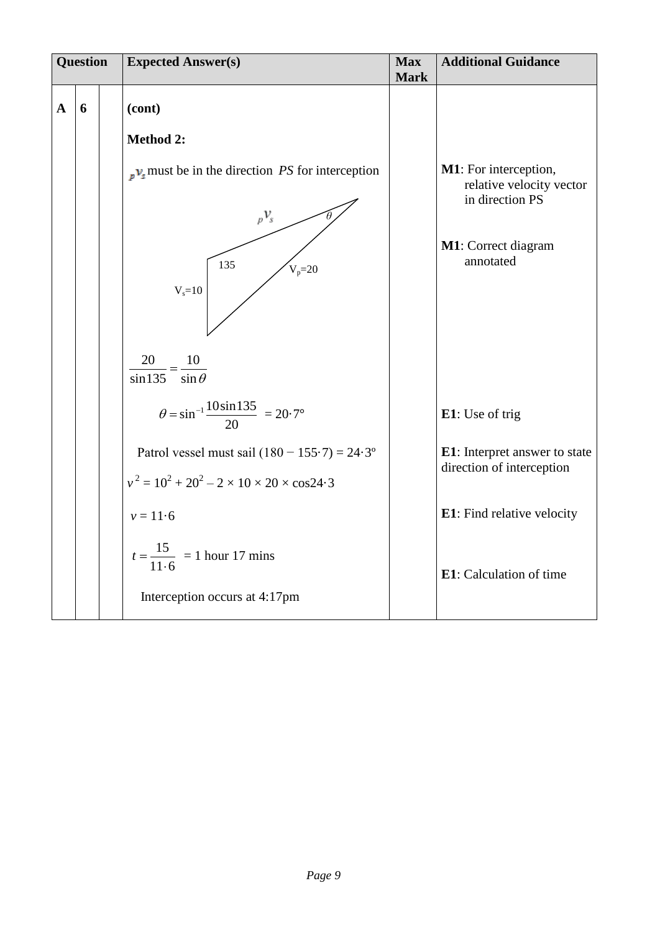|   | <b>Question</b> |  | <b>Expected Answer(s)</b>                                                                  | <b>Max</b><br><b>Mark</b> | <b>Additional Guidance</b>                                           |
|---|-----------------|--|--------------------------------------------------------------------------------------------|---------------------------|----------------------------------------------------------------------|
| A | 6               |  | (cont)                                                                                     |                           |                                                                      |
|   |                 |  | <b>Method 2:</b>                                                                           |                           |                                                                      |
|   |                 |  | $\mu$ <sub>s</sub> must be in the direction <i>PS</i> for interception<br>$p\mathcal{V}_s$ |                           | M1: For interception,<br>relative velocity vector<br>in direction PS |
|   |                 |  | 135<br>$V_p = 20$<br>$V_s = 10$                                                            |                           | M1: Correct diagram<br>annotated                                     |
|   |                 |  |                                                                                            |                           |                                                                      |
|   |                 |  | $\frac{20}{\sin 135} = \frac{10}{\sin \theta}$                                             |                           |                                                                      |
|   |                 |  | $heta = \sin^{-1} \frac{10 \sin 135}{20} = 20.7^{\circ}$                                   |                           | E1: Use of trig                                                      |
|   |                 |  | Patrol vessel must sail $(180 - 155.7) = 24.3$ °                                           |                           | E1: Interpret answer to state<br>direction of interception           |
|   |                 |  | $v^2 = 10^2 + 20^2 - 2 \times 10 \times 20 \times \cos 24.3$                               |                           |                                                                      |
|   |                 |  | $v = 11.6$                                                                                 |                           | E1: Find relative velocity                                           |
|   |                 |  | $t = \frac{15}{11 \cdot 6}$ = 1 hour 17 mins                                               |                           | <b>E1</b> : Calculation of time                                      |
|   |                 |  | Interception occurs at 4:17pm                                                              |                           |                                                                      |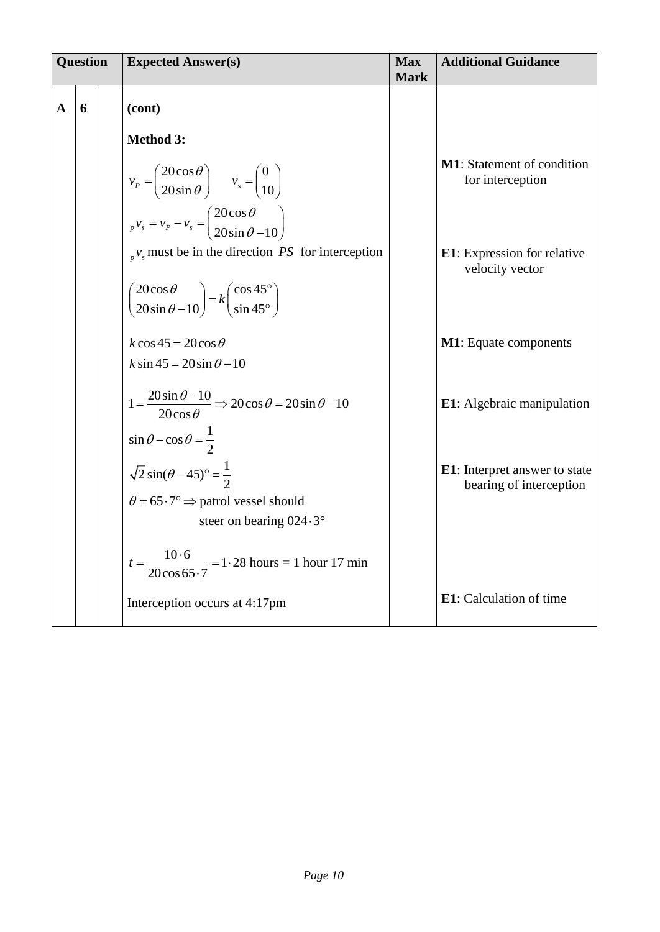| <b>Question</b> |   | <b>Expected Answer(s)</b>                                                                                                                                                                                                                                                                                       | <b>Max</b><br><b>Mark</b> | <b>Additional Guidance</b>                                       |
|-----------------|---|-----------------------------------------------------------------------------------------------------------------------------------------------------------------------------------------------------------------------------------------------------------------------------------------------------------------|---------------------------|------------------------------------------------------------------|
| $\mathbf{A}$    | 6 | (cont)<br><b>Method 3:</b><br>$v_p = \begin{pmatrix} 20\cos\theta \\ 20\sin\theta \end{pmatrix}$ $v_s = \begin{pmatrix} 0 \\ 10 \end{pmatrix}$                                                                                                                                                                  |                           | <b>M1</b> : Statement of condition<br>for interception           |
|                 |   | $v_p v_s = v_p - v_s = \begin{pmatrix} 20 \cos \theta \\ 20 \sin \theta - 10 \end{pmatrix}$<br>$\mathcal{L}_{p}v_{s}$ must be in the direction <i>PS</i> for interception<br>$\begin{pmatrix} 20\cos\theta \\ 20\sin\theta - 10 \end{pmatrix} = k \begin{pmatrix} \cos 45^\circ \\ \sin 45^\circ \end{pmatrix}$ |                           | <b>E1</b> : Expression for relative<br>velocity vector           |
|                 |   | $k\cos 45 = 20\cos \theta$<br>$k \sin 45 = 20 \sin \theta - 10$                                                                                                                                                                                                                                                 |                           | <b>M1</b> : Equate components                                    |
|                 |   | $1 = \frac{20\sin\theta - 10}{20\cos\theta} \Rightarrow 20\cos\theta = 20\sin\theta - 10$<br>$\sin \theta - \cos \theta = \frac{1}{2}$                                                                                                                                                                          |                           | E1: Algebraic manipulation                                       |
|                 |   | $\sqrt{2} \sin(\theta - 45)^{\circ} = \frac{1}{2}$<br>$\theta = 65.7$ ° $\Rightarrow$ patrol vessel should<br>steer on bearing $024.3^{\circ}$                                                                                                                                                                  |                           | <b>E1</b> : Interpret answer to state<br>bearing of interception |
|                 |   | $t = \frac{10.6}{20\cos 65.7} = 1.28$ hours = 1 hour 17 min<br>Interception occurs at 4:17pm                                                                                                                                                                                                                    |                           | <b>E1</b> : Calculation of time                                  |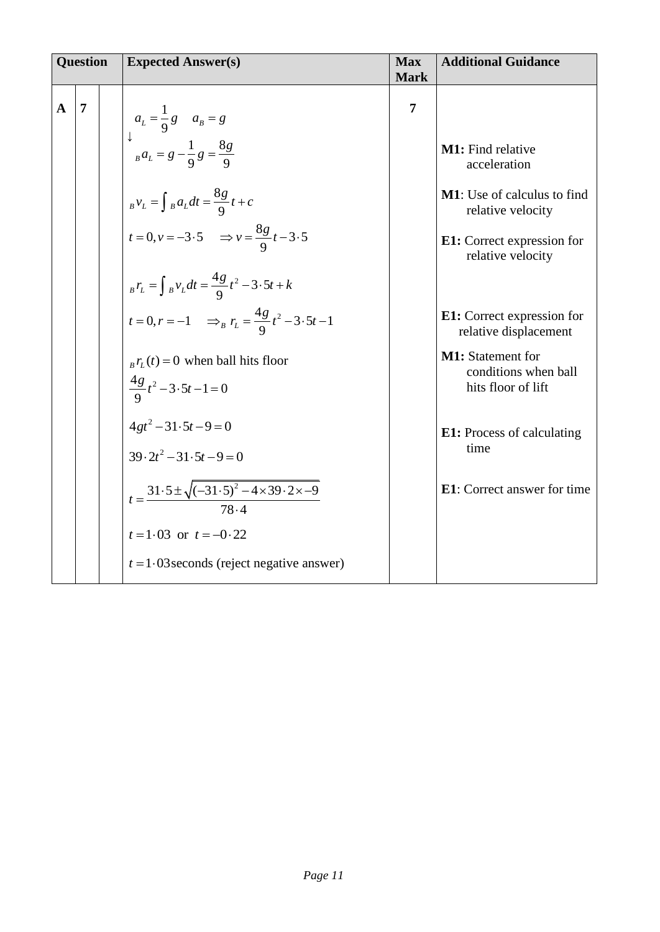| <b>Question</b> |   | <b>Expected Answer(s)</b>                                                                                                                                                                                                                                                                                                                  | <b>Max</b><br><b>Mark</b> | <b>Additional Guidance</b>                                                                                                                                                                                     |
|-----------------|---|--------------------------------------------------------------------------------------------------------------------------------------------------------------------------------------------------------------------------------------------------------------------------------------------------------------------------------------------|---------------------------|----------------------------------------------------------------------------------------------------------------------------------------------------------------------------------------------------------------|
| $\mathbf{A}$    | 7 | $a_L = \frac{1}{9}g$ $a_B = g$<br>$\downarrow$<br>$a_L = g - \frac{1}{9}g = \frac{8g}{9}$<br>$_{B}v_{L}=\int_{B}a_{L}dt=\frac{8g}{9}t+c$<br>$t = 0, v = -3.5$ $\Rightarrow v = \frac{8g}{0}t - 3.5$<br>$_{B}r_{L}=\int_{B}v_{L}dt=\frac{4g}{9}t^{2}-3\cdot 5t+k$<br>$t = 0, r = -1$ $\Rightarrow_B r_L = \frac{4g}{\Omega} t^2 - 3.5t - 1$ | $\overline{7}$            | M1: Find relative<br>acceleration<br><b>M1</b> : Use of calculus to find<br>relative velocity<br>E1: Correct expression for<br>relative velocity<br><b>E1:</b> Correct expression for<br>relative displacement |
|                 |   | $_{B}r_{L}(t) = 0$ when ball hits floor<br>$\frac{4g}{9}t^2-3\cdot 5t-1=0$                                                                                                                                                                                                                                                                 |                           | <b>M1:</b> Statement for<br>conditions when ball<br>hits floor of lift                                                                                                                                         |
|                 |   | $4gt^2-31.5t-9=0$<br>$39.2t^2 - 31.5t - 9 = 0$                                                                                                                                                                                                                                                                                             |                           | <b>E1:</b> Process of calculating<br>time<br><b>E1</b> : Correct answer for time                                                                                                                               |
|                 |   | $t = \frac{31.5 \pm \sqrt{(-31.5)^2 - 4 \times 39.2 \times -9}}{78.4}$<br>$t = 1.03$ or $t = -0.22$<br>$t = 1.03$ seconds (reject negative answer)                                                                                                                                                                                         |                           |                                                                                                                                                                                                                |
|                 |   |                                                                                                                                                                                                                                                                                                                                            |                           |                                                                                                                                                                                                                |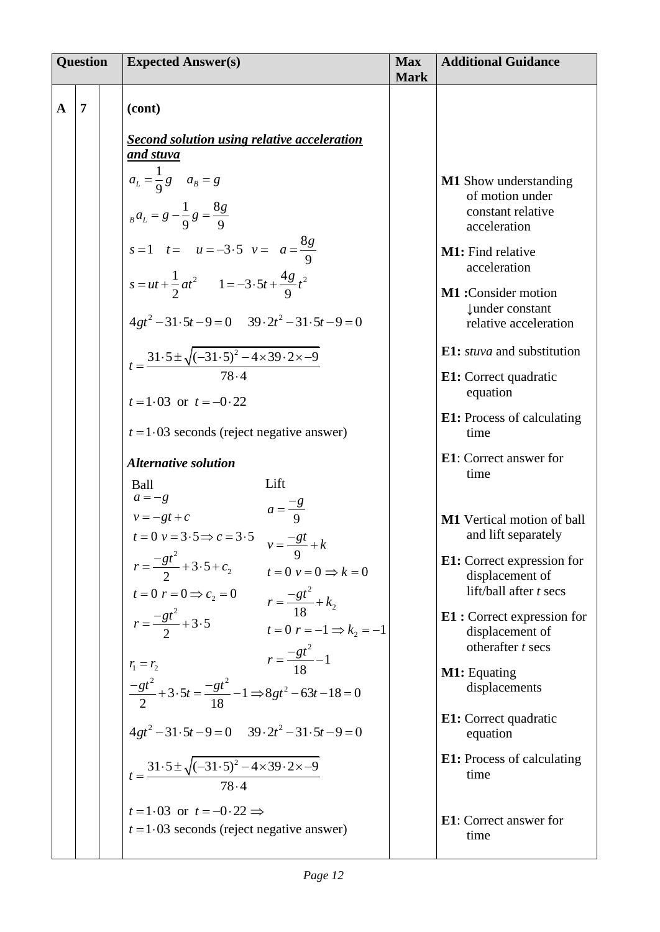| <b>Question</b> |                | <b>Expected Answer(s)</b>                                                                                                                                                               | <b>Max</b><br><b>Mark</b> | <b>Additional Guidance</b>                                                                                 |
|-----------------|----------------|-----------------------------------------------------------------------------------------------------------------------------------------------------------------------------------------|---------------------------|------------------------------------------------------------------------------------------------------------|
| $\mathbf{A}$    | $\overline{7}$ | (cont)                                                                                                                                                                                  |                           |                                                                                                            |
|                 |                | <b>Second solution using relative acceleration</b><br><u>and stuva</u><br>$a_L = \frac{1}{9}g$ $a_B = g$<br>$_{B}a_{L}=g-\frac{1}{9}g=\frac{8g}{9}$<br>$s=1$ $t=-3.5$ $v=-\frac{8g}{9}$ |                           | <b>M1</b> Show understanding<br>of motion under<br>constant relative<br>acceleration                       |
|                 |                | $s = ut + \frac{1}{2}at^2$ $1 = -3.5t + \frac{4g}{0}t^2$<br>$4gt^2-31.5t-9=0$ $39.2t^2-31.5t-9=0$                                                                                       |                           | M1: Find relative<br>acceleration<br>M1:Consider motion<br><b>Lunder</b> constant<br>relative acceleration |
|                 |                | $t = \frac{31.5 \pm \sqrt{(-31.5)^2 - 4 \times 39.2 \times -9}}{78.4}$<br>$t = 1.03$ or $t = -0.22$                                                                                     |                           | E1: <i>stuva</i> and substitution<br>E1: Correct quadratic<br>equation                                     |
|                 |                | $t = 1.03$ seconds (reject negative answer)                                                                                                                                             |                           | <b>E1:</b> Process of calculating<br>time                                                                  |
|                 |                | <b>Alternative solution</b><br>Lift<br>Ball<br>$a = -g$                                                                                                                                 |                           | E1: Correct answer for<br>time                                                                             |
|                 |                | $a=\frac{-g}{9}$<br>$v = -gt + c$<br>$t = 0$ $v = 3.5 \Rightarrow c = 3.5$ $v = \frac{-gt}{9} + k$                                                                                      |                           | M1 Vertical motion of ball<br>and lift separately                                                          |
|                 |                | $r = \frac{-gt^2}{2} + 3.5 + c_2$<br>$t = 0$ $v = 0 \Rightarrow k = 0$                                                                                                                  |                           | <b>E1:</b> Correct expression for<br>displacement of<br>lift/ball after t secs                             |
|                 |                | $t = 0 \t r = 0 \Rightarrow c_2 = 0$<br>$r = \frac{-gt^2}{2} + 3.5$<br>$r = 0 \t r = -1$<br>$t=0$ $r=-1 \Rightarrow k_2=-1$<br>$r = \frac{-gt^2}{18} - 1$                               |                           | <b>E1</b> : Correct expression for<br>displacement of<br>otherafter t secs                                 |
|                 |                | $r_1 = r_2$<br>$\frac{-gt^2}{2} + 3.5t = \frac{-gt^2}{18} - 1 \Longrightarrow 8gt^2 - 63t - 18 = 0$                                                                                     |                           | M1: Equating<br>displacements                                                                              |
|                 |                | $4gt^2-31.5t-9=0$ $39.2t^2-31.5t-9=0$                                                                                                                                                   |                           | E1: Correct quadratic<br>equation                                                                          |
|                 |                | $t = \frac{31.5 \pm \sqrt{(-31.5)^2 - 4 \times 39.2 \times -9}}{78.4}$                                                                                                                  |                           | <b>E1:</b> Process of calculating<br>time                                                                  |
|                 |                | $t=1.03$ or $t=-0.22 \implies$<br>$t = 1.03$ seconds (reject negative answer)                                                                                                           |                           | <b>E1</b> : Correct answer for<br>time                                                                     |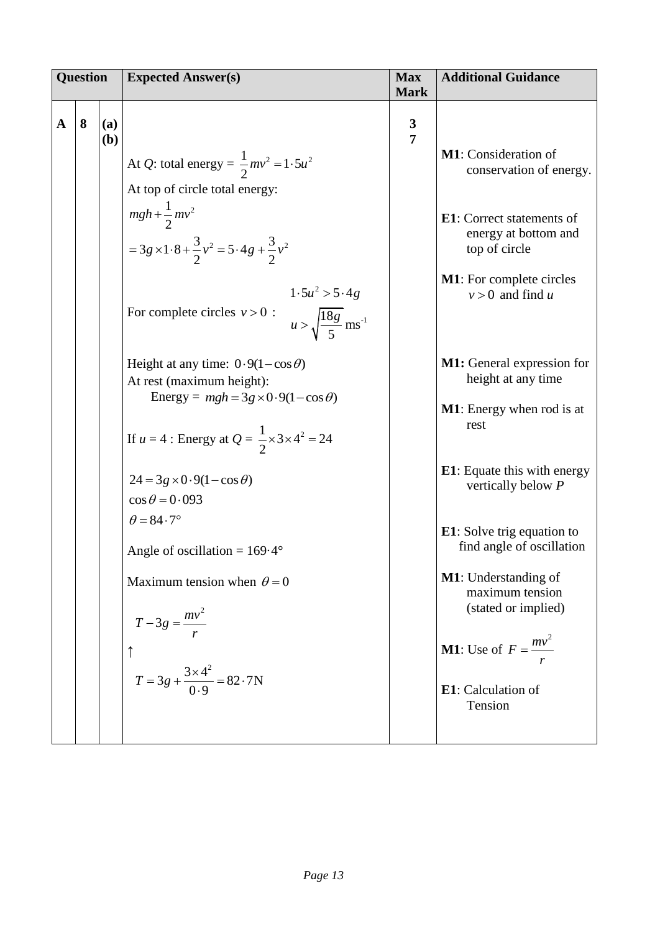| <b>Question</b> |   |            | <b>Expected Answer(s)</b>                                                                                                                                                                                                                                                                                                                                                                                                                                                                                                                                                                                                                                                                                                                                | <b>Max</b><br><b>Mark</b>      | <b>Additional Guidance</b>                                                                                                                                                                                                                                                                                                                                                                                                                                                                                                                                                |
|-----------------|---|------------|----------------------------------------------------------------------------------------------------------------------------------------------------------------------------------------------------------------------------------------------------------------------------------------------------------------------------------------------------------------------------------------------------------------------------------------------------------------------------------------------------------------------------------------------------------------------------------------------------------------------------------------------------------------------------------------------------------------------------------------------------------|--------------------------------|---------------------------------------------------------------------------------------------------------------------------------------------------------------------------------------------------------------------------------------------------------------------------------------------------------------------------------------------------------------------------------------------------------------------------------------------------------------------------------------------------------------------------------------------------------------------------|
| $\mathbf A$     | 8 | (a)<br>(b) | At <i>Q</i> : total energy = $\frac{1}{2}mv^2 = 1.5u^2$<br>At top of circle total energy:<br>$mgh + \frac{1}{2}mv^2$<br>= 3g \times 1 \cdot 8 + $\frac{3}{2}v^2$ = 5 \cdot 4g + $\frac{3}{2}v^2$<br>$1.5u^2 > 5.4g$<br>For complete circles $v > 0$ :<br>$u > \sqrt{\frac{18g}{5}}$ ms <sup>-1</sup><br>Height at any time: $0.9(1-\cos\theta)$<br>At rest (maximum height):<br>Energy = $mgh = 3g \times 0.9(1-\cos\theta)$<br>If $u = 4$ : Energy at $Q = \frac{1}{2} \times 3 \times 4^2 = 24$<br>$24 = 3g \times 0.9(1-\cos\theta)$<br>$\cos \theta = 0.093$<br>$\theta = 84.7^\circ$<br>Angle of oscillation = $169.4^{\circ}$<br>Maximum tension when $\theta = 0$<br>$T-3g=\frac{mv^2}{r}$<br>$T = 3g + \frac{3 \times 4^2}{0.9} = 82.7 \text{N}$ | $\mathbf{3}$<br>$\overline{7}$ | M1: Consideration of<br>conservation of energy.<br><b>E1</b> : Correct statements of<br>energy at bottom and<br>top of circle<br><b>M1</b> : For complete circles<br>$v > 0$ and find u<br><b>M1:</b> General expression for<br>height at any time<br><b>M1</b> : Energy when rod is at<br>rest<br><b>E1</b> : Equate this with energy<br>vertically below P<br><b>E1</b> : Solve trig equation to<br>find angle of oscillation<br><b>M1</b> : Understanding of<br>maximum tension<br>(stated or implied)<br><b>M1:</b> Use of $F = \frac{mv^2}{m}$<br>E1: Calculation of |
|                 |   |            |                                                                                                                                                                                                                                                                                                                                                                                                                                                                                                                                                                                                                                                                                                                                                          |                                | Tension                                                                                                                                                                                                                                                                                                                                                                                                                                                                                                                                                                   |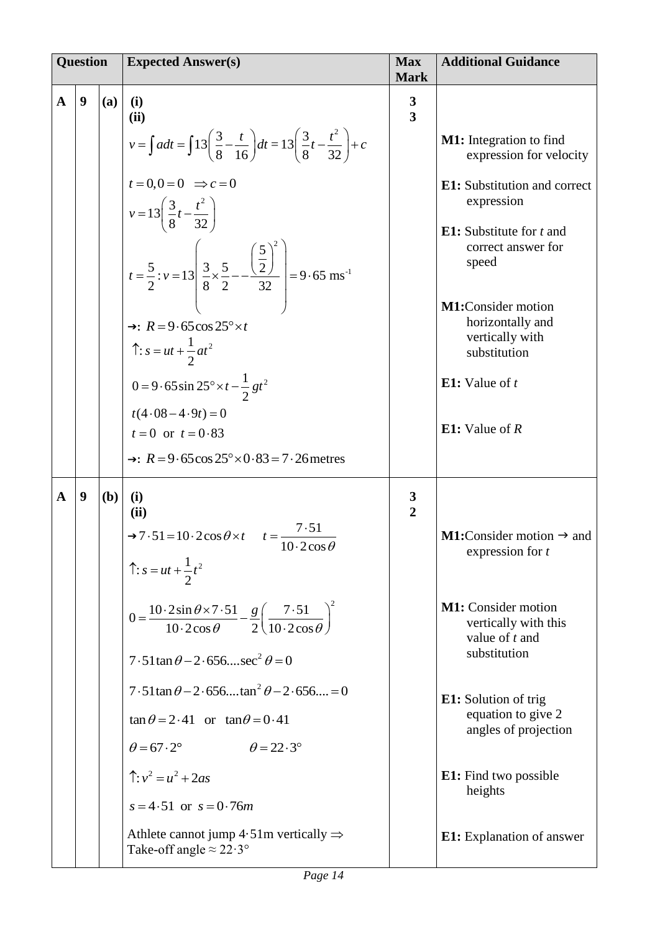| <b>Question</b> |                  |     | <b>Expected Answer(s)</b>                                                                                                                                                                                          | <b>Max</b><br><b>Mark</b>               | <b>Additional Guidance</b>                                                             |
|-----------------|------------------|-----|--------------------------------------------------------------------------------------------------------------------------------------------------------------------------------------------------------------------|-----------------------------------------|----------------------------------------------------------------------------------------|
| $\mathbf{A}$    | 9                | (a) | (i)<br>(ii)                                                                                                                                                                                                        | $\mathbf{3}$<br>$\overline{\mathbf{3}}$ |                                                                                        |
|                 |                  |     | $v = \int a dt = \int 13 \left( \frac{3}{8} - \frac{t}{16} \right) dt = 13 \left( \frac{3}{8}t - \frac{t^2}{32} \right) + c$                                                                                       |                                         | <b>M1:</b> Integration to find<br>expression for velocity                              |
|                 |                  |     | $t=0, 0=0 \Rightarrow c=0$<br>$v = 13\left(\frac{3}{8}t - \frac{t^2}{32}\right)$                                                                                                                                   |                                         | <b>E1:</b> Substitution and correct<br>expression                                      |
|                 |                  |     | $t = \frac{5}{2}$ : $v = 13 \left  \frac{3}{8} \times \frac{5}{2} - \frac{\left(\frac{5}{2}\right)^2}{32} \right  = 9.65 \text{ ms}^{-1}$                                                                          |                                         | <b>E1:</b> Substitute for $t$ and<br>correct answer for<br>speed                       |
|                 |                  |     | $\rightarrow$ : $R = 9.65 \cos 25^\circ \times t$<br>$\hat{\Gamma}: s = ut + \frac{1}{2}at^2$                                                                                                                      |                                         | M1:Consider motion<br>horizontally and<br>vertically with<br>substitution              |
|                 |                  |     | $0 = 9.65 \sin 25^\circ \times t - \frac{1}{2}gt^2$                                                                                                                                                                |                                         | <b>E1:</b> Value of $t$                                                                |
|                 |                  |     | $t(4.08-4.9t)=0$<br>$t = 0$ or $t = 0.83$<br>$\rightarrow$ : $R = 9.65 \cos 25^\circ \times 0.83 = 7.26$ metres                                                                                                    |                                         | E1: Value of $R$                                                                       |
|                 |                  |     |                                                                                                                                                                                                                    |                                         |                                                                                        |
| $\mathbf{A}$    | $\boldsymbol{9}$ | (b) | (i)<br>(ii)                                                                                                                                                                                                        | $\frac{3}{2}$                           |                                                                                        |
|                 |                  |     | $\rightarrow$ 7.51 = 10.2cos $\theta \times t$ $t = \frac{7.51}{10.2 \cos \theta}$<br>$\hat{\Gamma}: s = ut + \frac{1}{2}t^2$                                                                                      |                                         | <b>M1:</b> Consider motion $\rightarrow$ and<br>expression for t                       |
|                 |                  |     | $0 = \frac{10 \cdot 2 \sin \theta \times 7 \cdot 51}{10 \cdot 2 \cos \theta} - \frac{g}{2} \left( \frac{7 \cdot 51}{10 \cdot 2 \cos \theta} \right)^2$<br>$7.51 \tan \theta - 2.656$ sec <sup>2</sup> $\theta = 0$ |                                         | <b>M1:</b> Consider motion<br>vertically with this<br>value of $t$ and<br>substitution |
|                 |                  |     | $7.51\tan\theta - 2.656 \tan^2\theta - 2.656 = 0$                                                                                                                                                                  |                                         | <b>E1:</b> Solution of trig                                                            |
|                 |                  |     | $\tan \theta = 2.41$ or $\tan \theta = 0.41$                                                                                                                                                                       |                                         | equation to give 2<br>angles of projection                                             |
|                 |                  |     | $\theta = 67.2^{\circ}$ $\theta = 22.3^{\circ}$                                                                                                                                                                    |                                         |                                                                                        |
|                 |                  |     | $\hat{\Gamma}: v^2 = u^2 + 2as$<br>$s = 4.51$ or $s = 0.76m$                                                                                                                                                       |                                         | <b>E1:</b> Find two possible<br>heights                                                |
|                 |                  |     | Athlete cannot jump $4.51$ m vertically $\Rightarrow$<br>Take-off angle $\approx 22.3^\circ$                                                                                                                       |                                         | <b>E1:</b> Explanation of answer                                                       |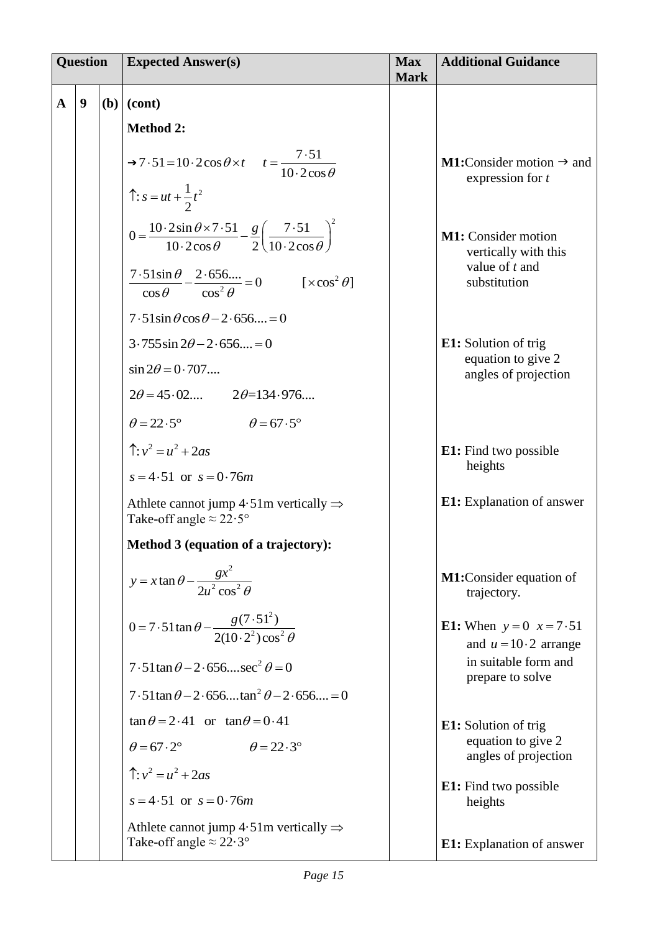| <b>Question</b> |   | <b>Expected Answer(s)</b>                                                                                                                              | <b>Max</b><br><b>Mark</b> | <b>Additional Guidance</b>                                         |
|-----------------|---|--------------------------------------------------------------------------------------------------------------------------------------------------------|---------------------------|--------------------------------------------------------------------|
| $\mathbf{A}$    | 9 | $(b)$ (cont)                                                                                                                                           |                           |                                                                    |
|                 |   | <b>Method 2:</b>                                                                                                                                       |                           |                                                                    |
|                 |   | $\rightarrow 7.51 = 10.2 \cos \theta \times t \quad t = \frac{7.51}{10.2 \cos \theta}$                                                                 |                           | <b>M1:</b> Consider motion $\rightarrow$ and<br>expression for $t$ |
|                 |   | $\hat{ }$ : $s = ut + \frac{1}{2}t^2$                                                                                                                  |                           |                                                                    |
|                 |   | $0 = \frac{10 \cdot 2 \sin \theta \times 7 \cdot 51}{10 \cdot 2 \cos \theta} - \frac{g}{2} \left( \frac{7 \cdot 51}{10 \cdot 2 \cos \theta} \right)^2$ |                           | <b>M1:</b> Consider motion<br>vertically with this                 |
|                 |   | $\frac{7.51\sin\theta}{\cos\theta} - \frac{2.656}{\cos^2\theta} = 0 \qquad [\times \cos^2\theta]$                                                      |                           | value of $t$ and<br>substitution                                   |
|                 |   | $7.51\sin\theta\cos\theta - 2.656 = 0$                                                                                                                 |                           |                                                                    |
|                 |   | $3.755\sin 2\theta - 2.656 = 0$                                                                                                                        |                           | <b>E1:</b> Solution of trig<br>equation to give 2                  |
|                 |   | $\sin 2\theta = 0.707$                                                                                                                                 |                           | angles of projection                                               |
|                 |   | $2\theta = 45.02$ $2\theta = 134.976$                                                                                                                  |                           |                                                                    |
|                 |   | $\theta = 22.5^{\circ}$ $\theta = 67.5^{\circ}$                                                                                                        |                           |                                                                    |
|                 |   | $\hat{ }$ : $v^2 = u^2 + 2as$                                                                                                                          |                           | <b>E1:</b> Find two possible                                       |
|                 |   | $s = 4.51$ or $s = 0.76m$                                                                                                                              |                           | heights                                                            |
|                 |   | Athlete cannot jump $4.51$ m vertically $\Rightarrow$<br>Take-off angle $\approx 22.5^{\circ}$                                                         |                           | <b>E1:</b> Explanation of answer                                   |
|                 |   | Method 3 (equation of a trajectory):                                                                                                                   |                           |                                                                    |
|                 |   | $y = x \tan \theta - \frac{gx^2}{2u^2 \cos^2 \theta}$                                                                                                  |                           | M1:Consider equation of<br>trajectory.                             |
|                 |   | $0 = 7.51 \tan \theta - \frac{g(7.51^2)}{2(10.2^2) \cos^2 \theta}$                                                                                     |                           | <b>E1:</b> When $y = 0$ $x = 7.51$<br>and $u = 10 \cdot 2$ arrange |
|                 |   | $7.51 \tan \theta - 2.656$ sec <sup>2</sup> $\theta = 0$                                                                                               |                           | in suitable form and<br>prepare to solve                           |
|                 |   | $7.51 \tan \theta - 2.656 \dots \tan^2 \theta - 2.656 \dots = 0$                                                                                       |                           |                                                                    |
|                 |   | $\tan \theta = 2.41$ or $\tan \theta = 0.41$                                                                                                           |                           | <b>E1:</b> Solution of trig                                        |
|                 |   | $\theta = 67.2^\circ$<br>$\theta = 22.3^{\circ}$                                                                                                       |                           | equation to give 2<br>angles of projection                         |
|                 |   | $\hat{\Gamma}: v^2 = u^2 + 2as$                                                                                                                        |                           | E1: Find two possible                                              |
|                 |   | $s = 4.51$ or $s = 0.76m$                                                                                                                              |                           | heights                                                            |
|                 |   | Athlete cannot jump $4.51$ m vertically $\Rightarrow$<br>Take-off angle $\approx 22.3^\circ$                                                           |                           | E1: Explanation of answer                                          |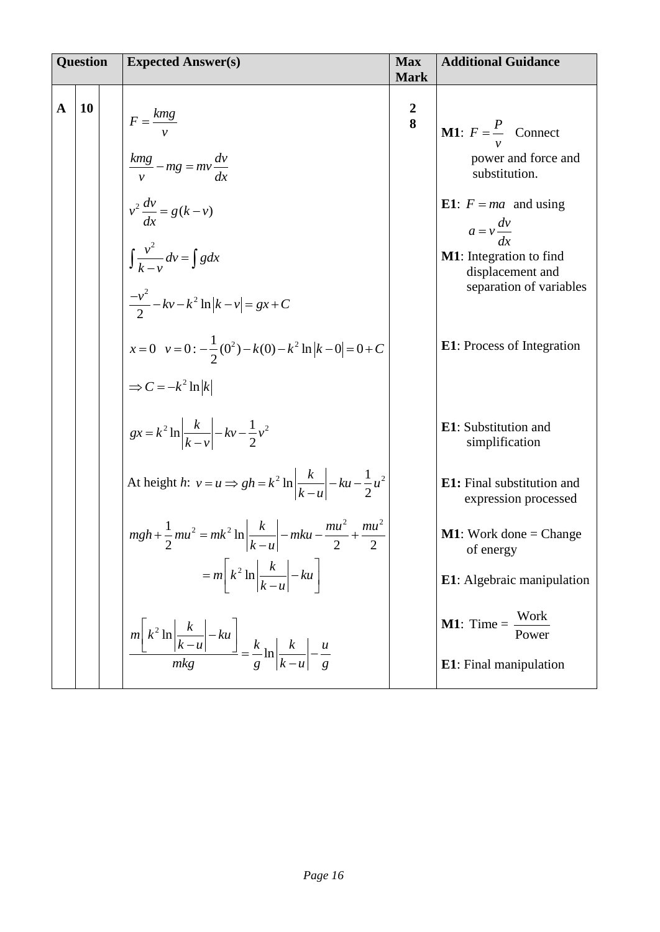| <b>Question</b> |    | <b>Expected Answer(s)</b>                                                                                                                                                         | <b>Max</b><br><b>Mark</b> | <b>Additional Guidance</b>                                                                                                        |
|-----------------|----|-----------------------------------------------------------------------------------------------------------------------------------------------------------------------------------|---------------------------|-----------------------------------------------------------------------------------------------------------------------------------|
| $\mathbf A$     | 10 | $F = \frac{kmg}{v}$<br>$\frac{kmg}{v} - mg = mv \frac{dv}{dx}$                                                                                                                    | $\frac{2}{8}$             | <b>M1</b> : $F = \frac{P}{v}$ Connect<br>power and force and<br>substitution.                                                     |
|                 |    | $v^2 \frac{dv}{dx} = g(k-v)$<br>$\int \frac{v^2}{k-v} dv = \int g dx$<br>$\frac{-v^2}{2} - kv - k^2 \ln  k - v  = gx + C$                                                         |                           | <b>E1</b> : $F = ma$ and using<br>$a = v \frac{dv}{dx}$<br>M1: Integration to find<br>displacement and<br>separation of variables |
|                 |    | $x=0$ $v=0:-\frac{1}{2}(0^2)-k(0)-k^2 \ln  k-0 =0+C$<br>$\Rightarrow C = -k^2 \ln  k $                                                                                            |                           | <b>E1</b> : Process of Integration                                                                                                |
|                 |    | $gx = k^2 \ln \left  \frac{k}{k - v} \right  - kv - \frac{1}{2}v^2$<br>At height <i>h</i> : $v = u \Rightarrow gh = k^2 \ln \left  \frac{k}{k - u} \right  - ku - \frac{1}{2}u^2$ |                           | E1: Substitution and<br>simplification<br>E1: Final substitution and<br>expression processed                                      |
|                 |    | $mgh + \frac{1}{2}mu^2 = mk^2 \ln \left  \frac{k}{k-u} \right  - mku - \frac{mu^2}{2} + \frac{mu^2}{2}$<br>$= m \left[k^2 \ln \left \frac{k}{k-u}\right  - ku\right]$             |                           | <b>M1</b> : Work done = Change<br>of energy<br>E1: Algebraic manipulation                                                         |
|                 |    | $\left\lfloor \frac{m\left[k^2 \ln \left \frac{k}{k-u}\right  - ku\right]}{mkg} \right\rfloor = \frac{k}{g} \ln \left\lfloor \frac{k}{k-u} \right\rfloor - \frac{u}{g}$           |                           | <b>M1</b> : Time = $\frac{\text{Work}}{\text{Power}}$<br>E1: Final manipulation                                                   |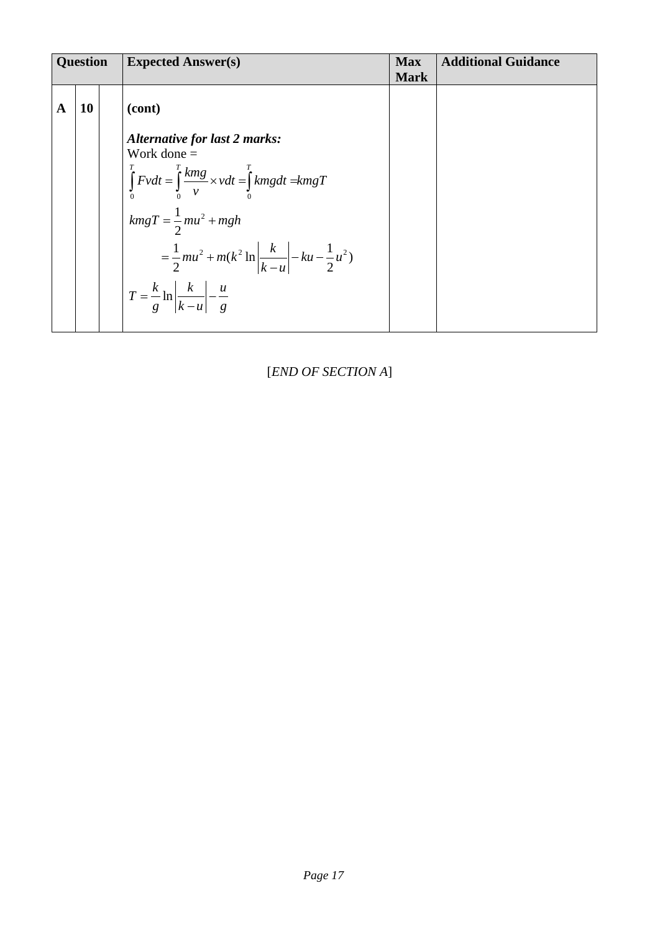| <b>Question</b> |    | <b>Expected Answer(s)</b>                                                                                                                        | <b>Max</b><br><b>Mark</b> | <b>Additional Guidance</b> |
|-----------------|----|--------------------------------------------------------------------------------------------------------------------------------------------------|---------------------------|----------------------------|
| A               | 10 | (cont)                                                                                                                                           |                           |                            |
|                 |    | <b>Alternative for last 2 marks:</b><br>Work done $=$<br>$\int_{0}^{T} Fvdt = \int_{0}^{T} \frac{kmg}{v} \times vdt = \int_{0}^{T} kmgdt = kmgT$ |                           |                            |
|                 |    | $kmgT = \frac{1}{2}mu^2 + mgh$<br>$=\frac{1}{2}mu^{2}+m(k^{2}\ln\left \frac{k}{k-u}\right -ku-\frac{1}{2}u^{2})$                                 |                           |                            |
|                 |    | $T = \frac{k}{g} \ln \left  \frac{k}{k-u} \right  - \frac{u}{g}$                                                                                 |                           |                            |

[*END OF SECTION A*]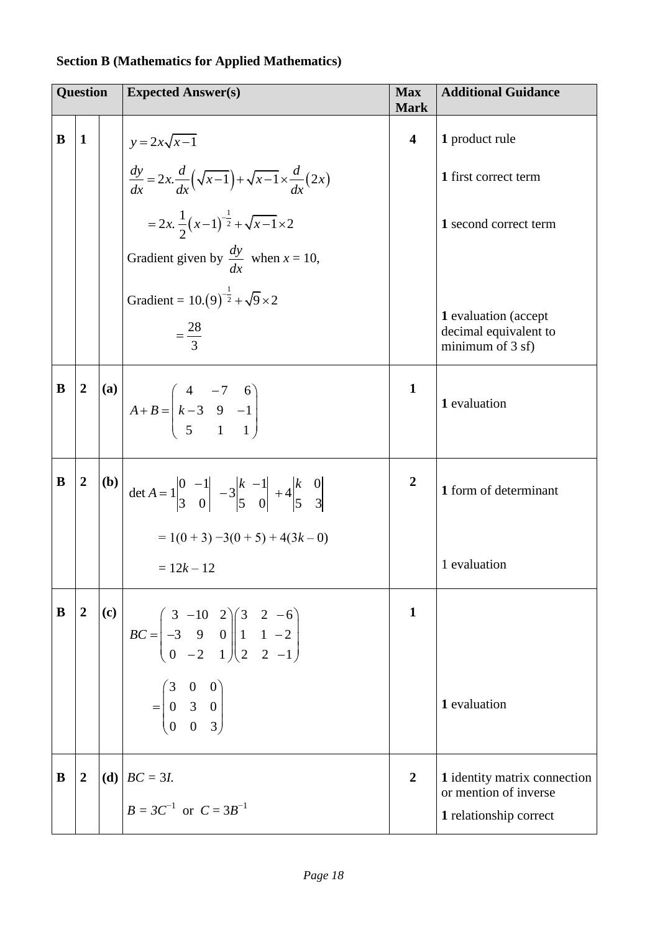#### **Question Expected Answer(s) Max Mark Additional Guidance B 1**  $y = 2x\sqrt{x-1}$  $\frac{dy}{dx} = 2x \cdot \frac{d}{dx}(\sqrt{x-1}) + \sqrt{x-1} \times \frac{d}{dx}(2x)$  $\frac{dy}{dx} = 2x \cdot \frac{d}{dx}(\sqrt{x-1}) + \sqrt{x-1} \times \frac{d}{dx}$  $(x-1)$ 1 2x.  $\frac{1}{2}(x-1)^{-\frac{1}{2}} + \sqrt{x-1} \times 2$  $= 2x.\frac{1}{2}(x-1)^{-\frac{1}{2}} + \sqrt{x-1} \times 2$ Gradient given by *dy dx* when  $x = 10$ , Gradient =  $10.(9)$  $10.(9)^{-\frac{1}{2}} + \sqrt{9} \times 2$ 28 3  $=$ **4 1** product rule **1** first correct term **1** second correct term **1** evaluation (accept decimal equivalent to minimum of 3 sf)  $B \mid 2 \mid (a)$  $4 -7 6$  $3 \t 9 \t -1$  $5 \t 1 \t 1$  $A + B = k$  $\begin{pmatrix} 4 & -7 & 6 \end{pmatrix}$  $+ B = \begin{pmatrix} 4 & -7 & 6 \\ k-3 & 9 & -1 \\ 5 & 1 & 1 \end{pmatrix}$ **1 1** evaluation **B**  $\begin{bmatrix} 2 & | & \\ 0 & | & \\ \end{bmatrix}$  det  $A = 1 \begin{bmatrix} 0 & -1 & \\ & 0 & -1 \\ \end{bmatrix}$   $\begin{bmatrix} 2 & | & \\ & -2 & | & \\ & -2 & | & \\ \end{bmatrix}$ det  $A = 1 \begin{vmatrix} 0 & -1 \\ 3 & 0 \end{vmatrix}$  -3 $\begin{vmatrix} k & -1 \\ 5 & 0 \end{vmatrix}$  +4  $\begin{vmatrix} 0 & -1 \\ 3 & 0 \end{vmatrix}$  -3  $\begin{vmatrix} k & -1 \\ 5 & 0 \end{vmatrix}$  +4  $\begin{vmatrix} k & 0 \\ 5 & 3 \end{vmatrix}$  $A = 1 \begin{vmatrix} 0 & -1 \\ 0 & 0 \end{vmatrix} - 3 \begin{vmatrix} k & -1 \\ 0 & 0 \end{vmatrix} + 4 \begin{vmatrix} k \\ 0 & 0 \end{vmatrix}$  $=1\begin{vmatrix} 0 & -1 \\ 2 & 0 \end{vmatrix}$   $-3\begin{vmatrix} k & -1 \\ 5 & 0 \end{vmatrix}$  +4 $\begin{vmatrix} k \\ 5 \end{vmatrix}$  $= 1(0 + 3) - 3(0 + 5) + 4(3k - 0)$  $= 12k - 12$ **2 1** form of determinant 1 evaluation  $\mathbf{B}$  | 2 | (c)  $3 -10$  2  $\binom{3}{2}$  2 -6  $3 \begin{bmatrix} 3 & -10 & 2 \\ 3 & 9 & 0 \end{bmatrix}$   $\begin{bmatrix} 3 & 2 & -0 \\ 1 & 1 & -2 \end{bmatrix}$  $BC = \begin{pmatrix} -3 & 9 & 0 \\ 0 & -2 & 1 \end{pmatrix} \begin{pmatrix} 1 & 1 & -2 \\ 2 & 2 & -1 \end{pmatrix}$  $\begin{pmatrix} 3 & -10 & 2 \end{pmatrix} \begin{pmatrix} 3 & 2 & -6 \end{pmatrix}$  $= \begin{pmatrix} 3 & -10 & 2 \\ -3 & 9 & 0 \\ 0 & -2 & 1 \end{pmatrix} \begin{pmatrix} 3 & 2 & -6 \\ 1 & 1 & -2 \\ 2 & 2 & -1 \end{pmatrix}$ 3 0 0 0 3 0 0 0 3  $=\begin{pmatrix} 3 & 0 & 0 \\ 0 & 3 & 0 \\ 0 & 0 & 3 \end{pmatrix}$ **1 1** evaluation **B**  $|2 \cdot |(d)| BC = 3I$ .  $B = 3C^{-1}$  or  $C = 3B^{-1}$ **2 1** identity matrix connection or mention of inverse **1** relationship correct

#### **Section B (Mathematics for Applied Mathematics)**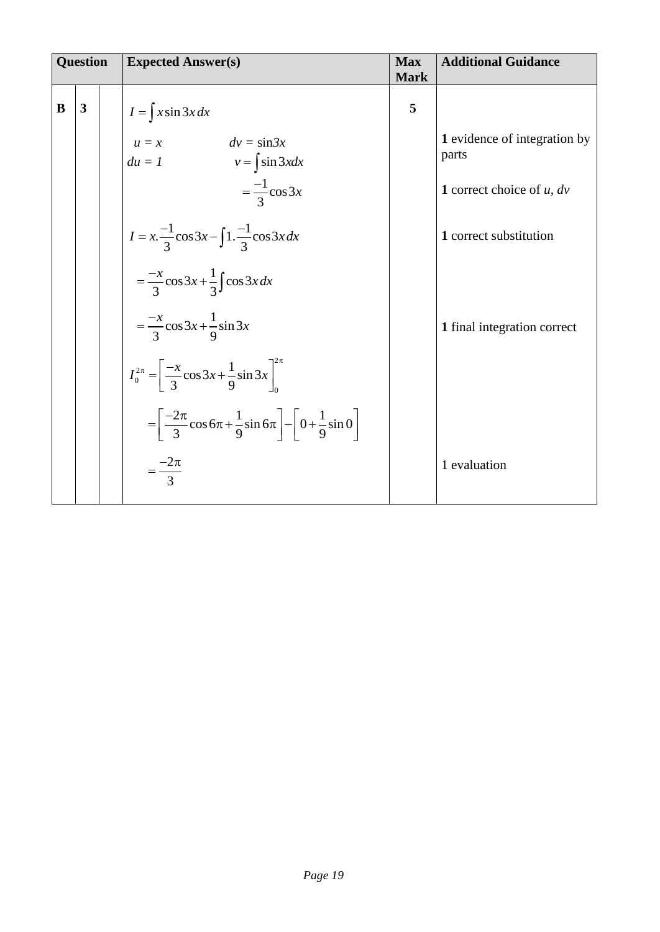| <b>Question</b> |   | <b>Expected Answer(s)</b>                                                                            | <b>Max</b><br><b>Mark</b> | <b>Additional Guidance</b>            |
|-----------------|---|------------------------------------------------------------------------------------------------------|---------------------------|---------------------------------------|
| B               | 3 | $I = \int x \sin 3x dx$                                                                              | 5                         |                                       |
|                 |   | $u = x$ $dv = \sin 3x$<br>$du = 1$ $v = \int \sin 3x dx$                                             |                           | 1 evidence of integration by<br>parts |
|                 |   | $=\frac{-1}{3}\cos 3x$                                                                               |                           | 1 correct choice of $u$ , $dv$        |
|                 |   | $I = x.\frac{-1}{3}\cos 3x - \int 1.\frac{-1}{3}\cos 3x dx$                                          |                           | 1 correct substitution                |
|                 |   | $=\frac{-x}{3}\cos 3x+\frac{1}{3}\int \cos 3x dx$                                                    |                           |                                       |
|                 |   | $=\frac{-x}{3}\cos 3x+\frac{1}{9}\sin 3x$                                                            |                           | 1 final integration correct           |
|                 |   | $I_0^{2\pi} = \left[\frac{-x}{3}\cos 3x + \frac{1}{9}\sin 3x\right]_0^{2\pi}$                        |                           |                                       |
|                 |   | $=\left[\frac{-2\pi}{3}\cos 6\pi + \frac{1}{9}\sin 6\pi\right] - \left[0 + \frac{1}{9}\sin 0\right]$ |                           |                                       |
|                 |   | $=\frac{-2\pi}{3}$                                                                                   |                           | 1 evaluation                          |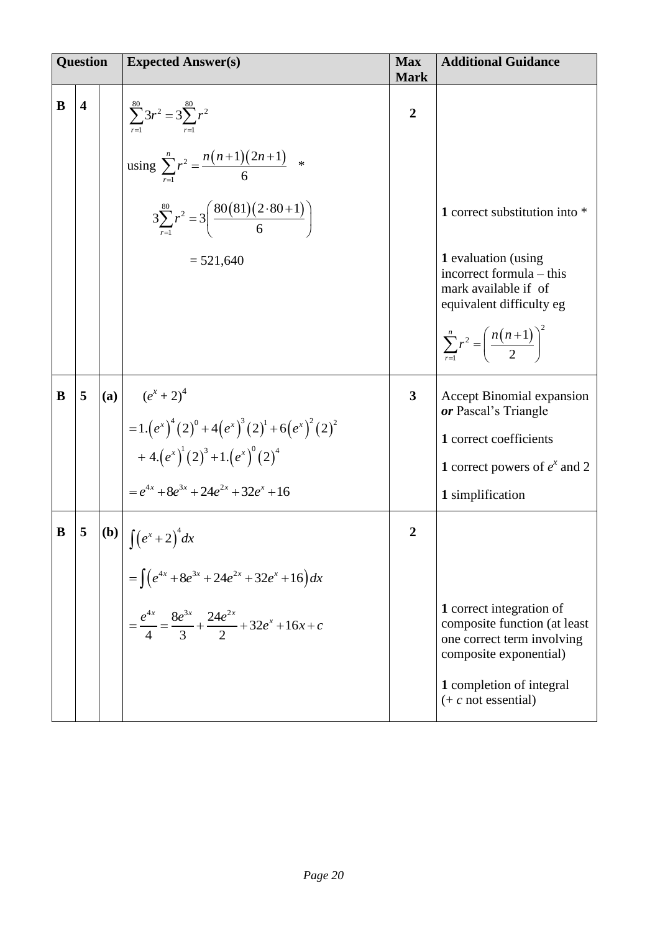|   | <b>Question</b>         |     | <b>Expected Answer(s)</b>                                                                                                         | <b>Max</b><br><b>Mark</b> | <b>Additional Guidance</b>                                                                                       |
|---|-------------------------|-----|-----------------------------------------------------------------------------------------------------------------------------------|---------------------------|------------------------------------------------------------------------------------------------------------------|
| B | $\overline{\mathbf{4}}$ |     | $\sum_{n=1}^{\infty} 3r^2 = 3 \sum_{n=1}^{\infty} r^2$<br>using $\sum_{r=1}^{n} r^2 = \frac{n(n+1)(2n+1)}{6}$ *                   | $\overline{2}$            |                                                                                                                  |
|   |                         |     | $3\sum_{n=1}^{80} r^2 = 3\left(\frac{80(81)(2\cdot 80+1)}{6}\right)$                                                              |                           | 1 correct substitution into *                                                                                    |
|   |                         |     | $= 521,640$                                                                                                                       |                           | 1 evaluation (using<br>incorrect formula – this<br>mark available if of<br>equivalent difficulty eg              |
|   |                         |     |                                                                                                                                   |                           | $\sum_{1}^{n} r^2 = \left(\frac{n(n+1)}{2}\right)^2$                                                             |
| B | 5                       | (a) | $(e^{x}+2)^{4}$                                                                                                                   | $\overline{\mathbf{3}}$   | <b>Accept Binomial expansion</b><br>or Pascal's Triangle                                                         |
|   |                         |     | $=1.\left(e^{x}\right)^{4}\left(2\right)^{0}+4\left(e^{x}\right)^{3}\left(2\right)^{1}+6\left(e^{x}\right)^{2}\left(2\right)^{2}$ |                           | 1 correct coefficients                                                                                           |
|   |                         |     | + 4. $(e^x)^1(2)^3$ + 1. $(e^x)^0(2)^4$                                                                                           |                           | 1 correct powers of $e^x$ and 2                                                                                  |
|   |                         |     | $=e^{4x}+8e^{3x}+24e^{2x}+32e^{x}+16$                                                                                             |                           | 1 simplification                                                                                                 |
| B | 5                       |     | <b>(b)</b> $\int (e^x + 2)^4 dx$                                                                                                  | $\overline{2}$            |                                                                                                                  |
|   |                         |     | $=\int (e^{4x}+8e^{3x}+24e^{2x}+32e^{x}+16)dx$                                                                                    |                           |                                                                                                                  |
|   |                         |     | $=\frac{e^{4x}}{4}=\frac{8e^{3x}}{3}+\frac{24e^{2x}}{2}+32e^{x}+16x+c$                                                            |                           | 1 correct integration of<br>composite function (at least<br>one correct term involving<br>composite exponential) |
|   |                         |     |                                                                                                                                   |                           | 1 completion of integral<br>$(+ c not essential)$                                                                |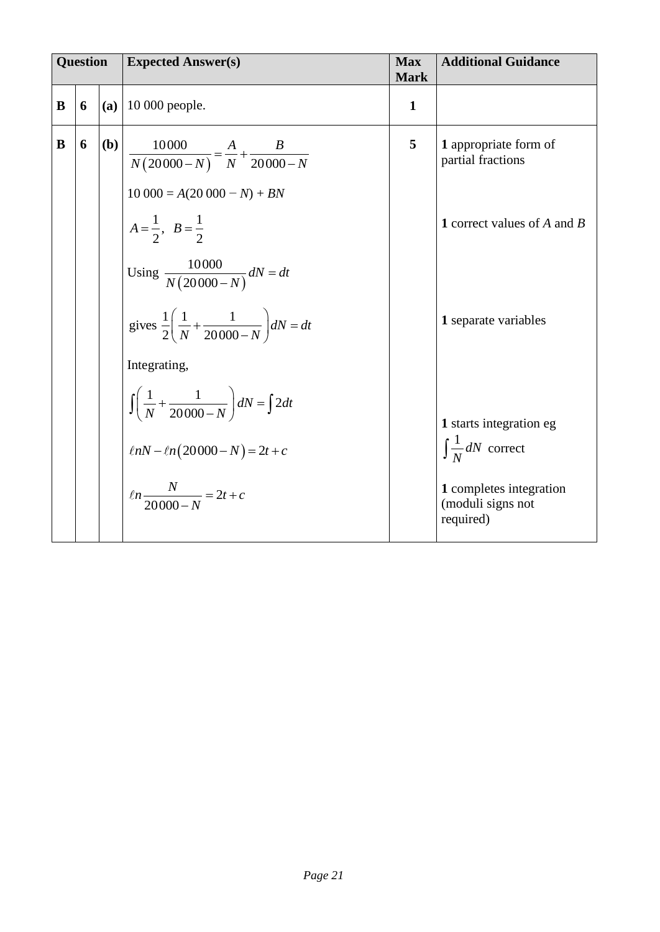| <b>Question</b> |   |     | <b>Expected Answer(s)</b>                                                                       | <b>Max</b><br><b>Mark</b> | <b>Additional Guidance</b>                                |
|-----------------|---|-----|-------------------------------------------------------------------------------------------------|---------------------------|-----------------------------------------------------------|
| B               | 6 | (a) | 10 000 people.                                                                                  | $\mathbf{1}$              |                                                           |
| B               | 6 | (b) | $\frac{10000}{N(20000-N)} = \frac{A}{N} + \frac{B}{20000-N}$<br>$10\,000 = A(20\,000 - N) + BN$ | 5                         | 1 appropriate form of<br>partial fractions                |
|                 |   |     | $A=\frac{1}{2}, B=\frac{1}{2}$                                                                  |                           | <b>1</b> correct values of A and B                        |
|                 |   |     | Using $\frac{10000}{N(20000 - N)}$ dN = dt                                                      |                           |                                                           |
|                 |   |     | gives $\frac{1}{2} \left( \frac{1}{N} + \frac{1}{20000 - N} \right) dN = dt$                    |                           | 1 separate variables                                      |
|                 |   |     | Integrating,                                                                                    |                           |                                                           |
|                 |   |     | $\int \left( \frac{1}{N} + \frac{1}{20000 - N} \right) dN = \int 2 dt$                          |                           | 1 starts integration eg                                   |
|                 |   |     | $\ln N - \ln(20000 - N) = 2t + c$                                                               |                           | $\int \frac{1}{N} dN$ correct                             |
|                 |   |     | $ln \frac{N}{20000 - N} = 2t + c$                                                               |                           | 1 completes integration<br>(moduli signs not<br>required) |